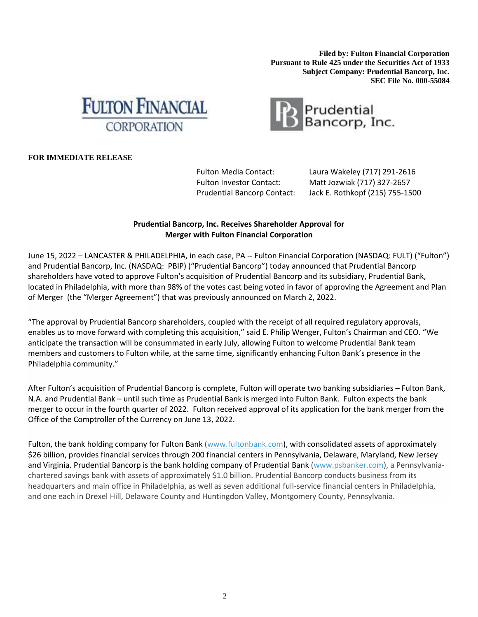**Filed by: Fulton Financial Corporation Pursuant to Rule 425 under the Securities Act of 1933 Subject Company: Prudential Bancorp, Inc. SEC File No. 000-55084**





## **FOR IMMEDIATE RELEASE**

Fulton Media Contact: Laura Wakeley (717) 291-2616 Fulton Investor Contact: Matt Jozwiak (717) 327-2657 Prudential Bancorp Contact: Jack E. Rothkopf (215) 755-1500

## **Prudential Bancorp, Inc. Receives Shareholder Approval for Merger with Fulton Financial Corporation**

June 15, 2022 – LANCASTER & PHILADELPHIA, in each case, PA -- Fulton Financial Corporation (NASDAQ: FULT) ("Fulton") and Prudential Bancorp, Inc. (NASDAQ: PBIP) ("Prudential Bancorp") today announced that Prudential Bancorp shareholders have voted to approve Fulton's acquisition of Prudential Bancorp and its subsidiary, Prudential Bank, located in Philadelphia, with more than 98% of the votes cast being voted in favor of approving the Agreement and Plan of Merger (the "Merger Agreement") that was previously announced on March 2, 2022.

"The approval by Prudential Bancorp shareholders, coupled with the receipt of all required regulatory approvals, enables us to move forward with completing this acquisition," said E. Philip Wenger, Fulton's Chairman and CEO. "We anticipate the transaction will be consummated in early July, allowing Fulton to welcome Prudential Bank team members and customers to Fulton while, at the same time, significantly enhancing Fulton Bank's presence in the Philadelphia community."

After Fulton's acquisition of Prudential Bancorp is complete, Fulton will operate two banking subsidiaries – Fulton Bank, N.A. and Prudential Bank – until such time as Prudential Bank is merged into Fulton Bank. Fulton expects the bank merger to occur in the fourth quarter of 2022. Fulton received approval of its application for the bank merger from the Office of the Comptroller of the Currency on June 13, 2022.

Fulton, the bank holding company for Fulton Bank [\(www.fultonbank.com\)](https://cts.businesswire.com/ct/CT?id=smartlink&url=http%3A%2F%2Fwww.fultonbank.com&esheet=52726168&lan=en-US&anchor=www.fultonbank.com&index=1&md5=6401724afb001c7209ed08de61c33f53), with consolidated assets of approximately \$26 billion, provides financial services through 200 financial centers in Pennsylvania, Delaware, Maryland, New Jersey and Virginia. Prudential Bancorp is the bank holding company of Prudential Bank [\(www.psbanker.com\)](https://cts.businesswire.com/ct/CT?id=smartlink&url=http%3A%2F%2Fwww.psbanker.com%2F&esheet=52726168&lan=en-US&anchor=www.psbanker.com&index=2&md5=90c7be8e7aec0b810ed38df7025ddc36), a Pennsylvaniachartered savings bank with assets of approximately \$1.0 billion. Prudential Bancorp conducts business from its headquarters and main office in Philadelphia, as well as seven additional full-service financial centers in Philadelphia, and one each in Drexel Hill, Delaware County and Huntingdon Valley, Montgomery County, Pennsylvania.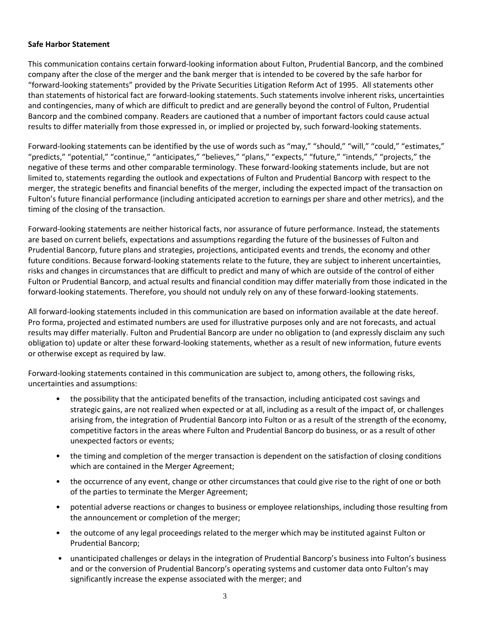## **Safe Harbor Statement**

This communication contains certain forward-looking information about Fulton, Prudential Bancorp, and the combined company after the close of the merger and the bank merger that is intended to be covered by the safe harbor for "forward-looking statements" provided by the Private Securities Litigation Reform Act of 1995. All statements other than statements of historical fact are forward-looking statements. Such statements involve inherent risks, uncertainties and contingencies, many of which are difficult to predict and are generally beyond the control of Fulton, Prudential Bancorp and the combined company. Readers are cautioned that a number of important factors could cause actual results to differ materially from those expressed in, or implied or projected by, such forward-looking statements.

Forward-looking statements can be identified by the use of words such as "may," "should," "will," "could," "estimates," "predicts," "potential," "continue," "anticipates," "believes," "plans," "expects," "future," "intends," "projects," the negative of these terms and other comparable terminology. These forward-looking statements include, but are not limited to, statements regarding the outlook and expectations of Fulton and Prudential Bancorp with respect to the merger, the strategic benefits and financial benefits of the merger, including the expected impact of the transaction on Fulton's future financial performance (including anticipated accretion to earnings per share and other metrics), and the timing of the closing of the transaction.

Forward-looking statements are neither historical facts, nor assurance of future performance. Instead, the statements are based on current beliefs, expectations and assumptions regarding the future of the businesses of Fulton and Prudential Bancorp, future plans and strategies, projections, anticipated events and trends, the economy and other future conditions. Because forward-looking statements relate to the future, they are subject to inherent uncertainties, risks and changes in circumstances that are difficult to predict and many of which are outside of the control of either Fulton or Prudential Bancorp, and actual results and financial condition may differ materially from those indicated in the forward-looking statements. Therefore, you should not unduly rely on any of these forward-looking statements.

All forward-looking statements included in this communication are based on information available at the date hereof. Pro forma, projected and estimated numbers are used for illustrative purposes only and are not forecasts, and actual results may differ materially. Fulton and Prudential Bancorp are under no obligation to (and expressly disclaim any such obligation to) update or alter these forward-looking statements, whether as a result of new information, future events or otherwise except as required by law.

Forward-looking statements contained in this communication are subject to, among others, the following risks, uncertainties and assumptions:

- the possibility that the anticipated benefits of the transaction, including anticipated cost savings and strategic gains, are not realized when expected or at all, including as a result of the impact of, or challenges arising from, the integration of Prudential Bancorp into Fulton or as a result of the strength of the economy, competitive factors in the areas where Fulton and Prudential Bancorp do business, or as a result of other unexpected factors or events;
- the timing and completion of the merger transaction is dependent on the satisfaction of closing conditions which are contained in the Merger Agreement;
- the occurrence of any event, change or other circumstances that could give rise to the right of one or both of the parties to terminate the Merger Agreement;
- potential adverse reactions or changes to business or employee relationships, including those resulting from the announcement or completion of the merger;
- the outcome of any legal proceedings related to the merger which may be instituted against Fulton or Prudential Bancorp;
- unanticipated challenges or delays in the integration of Prudential Bancorp's business into Fulton's business and or the conversion of Prudential Bancorp's operating systems and customer data onto Fulton's may significantly increase the expense associated with the merger; and